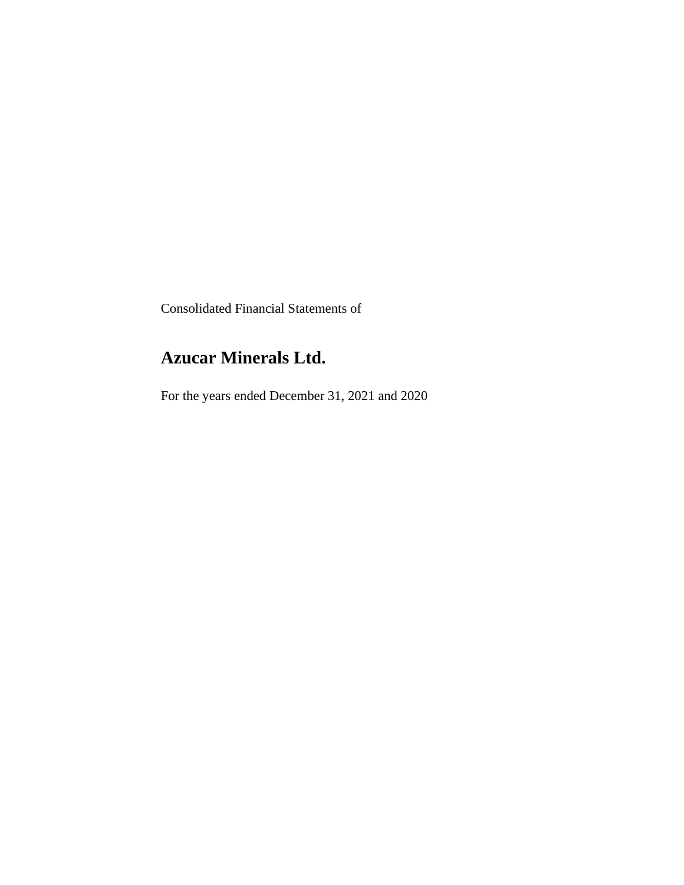Consolidated Financial Statements of

# **Azucar Minerals Ltd.**

For the years ended December 31, 2021 and 2020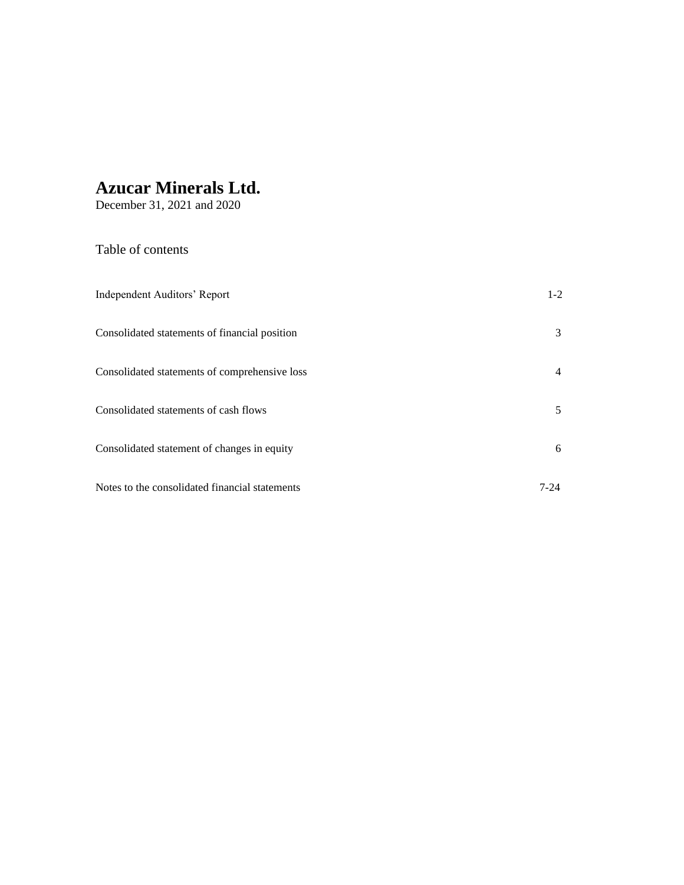# **Azucar Minerals Ltd.**

December 31, 2021 and 2020

# Table of contents

| Independent Auditors' Report                   | $1-2$    |
|------------------------------------------------|----------|
| Consolidated statements of financial position  | 3        |
| Consolidated statements of comprehensive loss  | 4        |
| Consolidated statements of cash flows          | 5.       |
| Consolidated statement of changes in equity    | 6        |
| Notes to the consolidated financial statements | $7 - 24$ |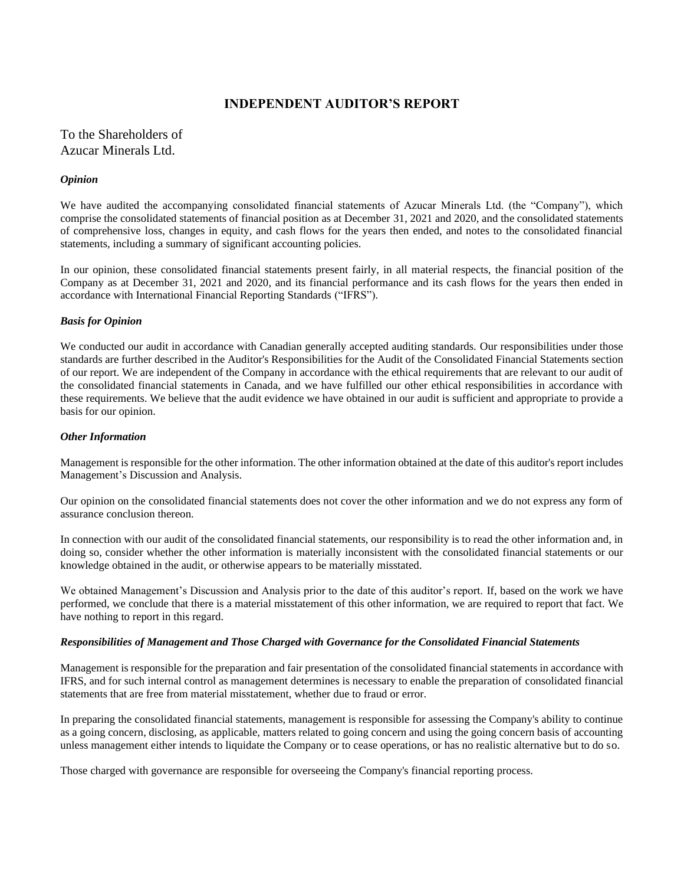# **INDEPENDENT AUDITOR'S REPORT**

# To the Shareholders of Azucar Minerals Ltd.

### *Opinion*

We have audited the accompanying consolidated financial statements of Azucar Minerals Ltd. (the "Company"), which comprise the consolidated statements of financial position as at December 31, 2021 and 2020, and the consolidated statements of comprehensive loss, changes in equity, and cash flows for the years then ended, and notes to the consolidated financial statements, including a summary of significant accounting policies.

In our opinion, these consolidated financial statements present fairly, in all material respects, the financial position of the Company as at December 31, 2021 and 2020, and its financial performance and its cash flows for the years then ended in accordance with International Financial Reporting Standards ("IFRS").

#### *Basis for Opinion*

We conducted our audit in accordance with Canadian generally accepted auditing standards. Our responsibilities under those standards are further described in the Auditor's Responsibilities for the Audit of the Consolidated Financial Statements section of our report. We are independent of the Company in accordance with the ethical requirements that are relevant to our audit of the consolidated financial statements in Canada, and we have fulfilled our other ethical responsibilities in accordance with these requirements. We believe that the audit evidence we have obtained in our audit is sufficient and appropriate to provide a basis for our opinion.

#### *Other Information*

Management is responsible for the other information. The other information obtained at the date of this auditor's report includes Management's Discussion and Analysis.

Our opinion on the consolidated financial statements does not cover the other information and we do not express any form of assurance conclusion thereon.

In connection with our audit of the consolidated financial statements, our responsibility is to read the other information and, in doing so, consider whether the other information is materially inconsistent with the consolidated financial statements or our knowledge obtained in the audit, or otherwise appears to be materially misstated.

We obtained Management's Discussion and Analysis prior to the date of this auditor's report. If, based on the work we have performed, we conclude that there is a material misstatement of this other information, we are required to report that fact. We have nothing to report in this regard.

### *Responsibilities of Management and Those Charged with Governance for the Consolidated Financial Statements*

Management is responsible for the preparation and fair presentation of the consolidated financial statements in accordance with IFRS, and for such internal control as management determines is necessary to enable the preparation of consolidated financial statements that are free from material misstatement, whether due to fraud or error.

In preparing the consolidated financial statements, management is responsible for assessing the Company's ability to continue as a going concern, disclosing, as applicable, matters related to going concern and using the going concern basis of accounting unless management either intends to liquidate the Company or to cease operations, or has no realistic alternative but to do so.

Those charged with governance are responsible for overseeing the Company's financial reporting process.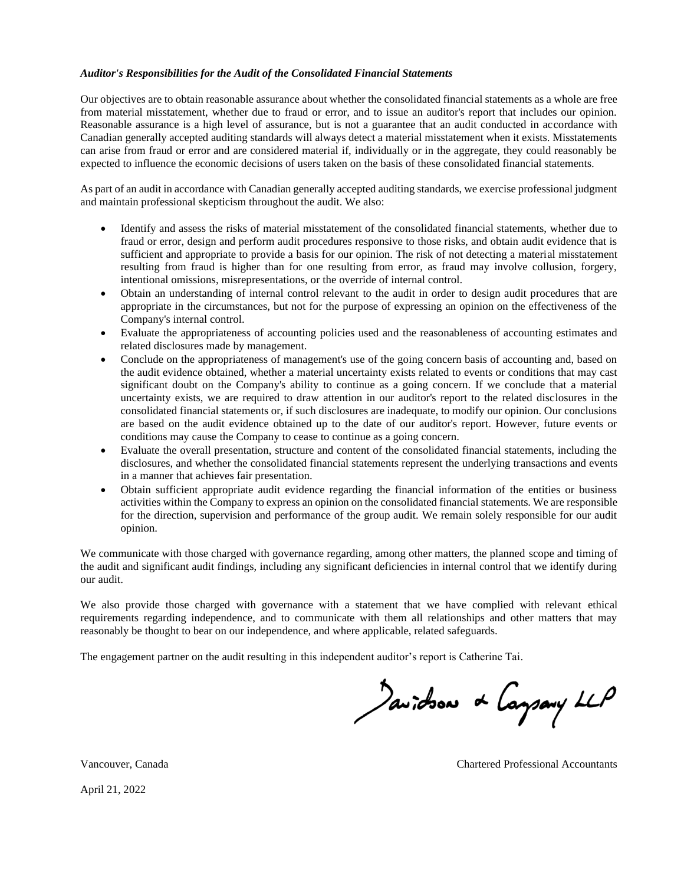### *Auditor's Responsibilities for the Audit of the Consolidated Financial Statements*

Our objectives are to obtain reasonable assurance about whether the consolidated financial statements as a whole are free from material misstatement, whether due to fraud or error, and to issue an auditor's report that includes our opinion. Reasonable assurance is a high level of assurance, but is not a guarantee that an audit conducted in accordance with Canadian generally accepted auditing standards will always detect a material misstatement when it exists. Misstatements can arise from fraud or error and are considered material if, individually or in the aggregate, they could reasonably be expected to influence the economic decisions of users taken on the basis of these consolidated financial statements.

As part of an audit in accordance with Canadian generally accepted auditing standards, we exercise professional judgment and maintain professional skepticism throughout the audit. We also:

- Identify and assess the risks of material misstatement of the consolidated financial statements, whether due to fraud or error, design and perform audit procedures responsive to those risks, and obtain audit evidence that is sufficient and appropriate to provide a basis for our opinion. The risk of not detecting a material misstatement resulting from fraud is higher than for one resulting from error, as fraud may involve collusion, forgery, intentional omissions, misrepresentations, or the override of internal control.
- Obtain an understanding of internal control relevant to the audit in order to design audit procedures that are appropriate in the circumstances, but not for the purpose of expressing an opinion on the effectiveness of the Company's internal control.
- Evaluate the appropriateness of accounting policies used and the reasonableness of accounting estimates and related disclosures made by management.
- Conclude on the appropriateness of management's use of the going concern basis of accounting and, based on the audit evidence obtained, whether a material uncertainty exists related to events or conditions that may cast significant doubt on the Company's ability to continue as a going concern. If we conclude that a material uncertainty exists, we are required to draw attention in our auditor's report to the related disclosures in the consolidated financial statements or, if such disclosures are inadequate, to modify our opinion. Our conclusions are based on the audit evidence obtained up to the date of our auditor's report. However, future events or conditions may cause the Company to cease to continue as a going concern.
- Evaluate the overall presentation, structure and content of the consolidated financial statements, including the disclosures, and whether the consolidated financial statements represent the underlying transactions and events in a manner that achieves fair presentation.
- Obtain sufficient appropriate audit evidence regarding the financial information of the entities or business activities within the Company to express an opinion on the consolidated financial statements. We are responsible for the direction, supervision and performance of the group audit. We remain solely responsible for our audit opinion.

We communicate with those charged with governance regarding, among other matters, the planned scope and timing of the audit and significant audit findings, including any significant deficiencies in internal control that we identify during our audit.

We also provide those charged with governance with a statement that we have complied with relevant ethical requirements regarding independence, and to communicate with them all relationships and other matters that may reasonably be thought to bear on our independence, and where applicable, related safeguards.

The engagement partner on the audit resulting in this independent auditor's report is Catherine Tai.

Javidson & Caysany LLP

Vancouver, Canada Chartered Professional Accountants

April 21, 2022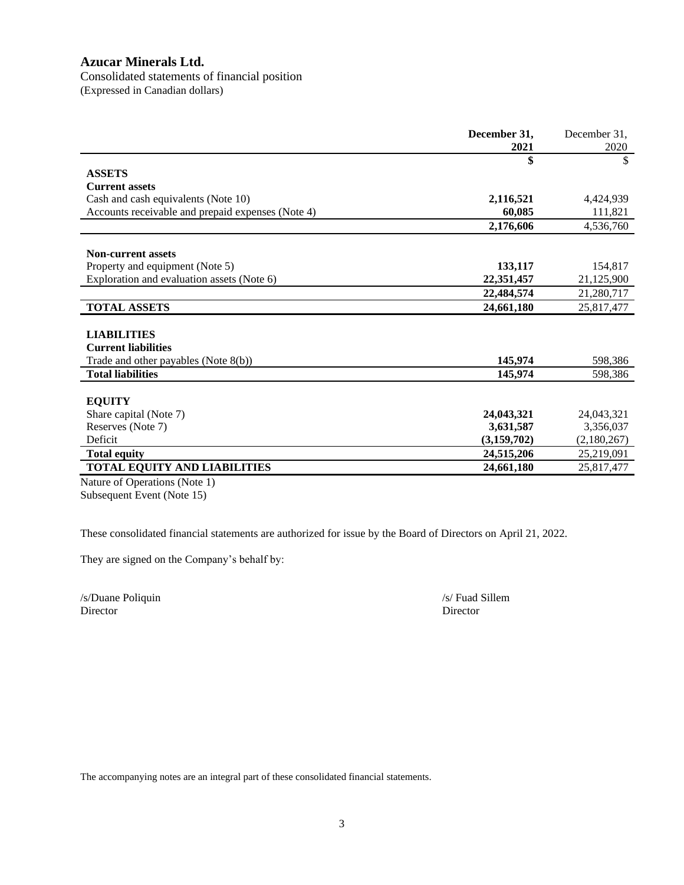# **Azucar Minerals Ltd.**

Consolidated statements of financial position (Expressed in Canadian dollars)

|                                                   | December 31, | December 31. |
|---------------------------------------------------|--------------|--------------|
|                                                   | 2021         | 2020         |
|                                                   | \$           | \$           |
| <b>ASSETS</b>                                     |              |              |
| <b>Current assets</b>                             |              |              |
| Cash and cash equivalents (Note 10)               | 2,116,521    | 4,424,939    |
| Accounts receivable and prepaid expenses (Note 4) | 60,085       | 111,821      |
|                                                   | 2,176,606    | 4,536,760    |
|                                                   |              |              |
| <b>Non-current assets</b>                         |              |              |
| Property and equipment (Note 5)                   | 133,117      | 154,817      |
| Exploration and evaluation assets (Note 6)        | 22,351,457   | 21,125,900   |
|                                                   | 22,484,574   | 21,280,717   |
| <b>TOTAL ASSETS</b>                               | 24,661,180   | 25,817,477   |
| <b>LIABILITIES</b>                                |              |              |
| <b>Current liabilities</b>                        |              |              |
| Trade and other payables (Note 8(b))              | 145,974      | 598,386      |
| <b>Total liabilities</b>                          | 145,974      | 598,386      |
|                                                   |              |              |
| <b>EQUITY</b>                                     |              |              |
| Share capital (Note 7)                            | 24,043,321   | 24,043,321   |
| Reserves (Note 7)                                 | 3,631,587    | 3,356,037    |
| Deficit                                           | (3,159,702)  | (2,180,267)  |
| <b>Total equity</b>                               | 24,515,206   | 25,219,091   |
| <b>TOTAL EQUITY AND LIABILITIES</b>               | 24,661,180   | 25,817,477   |
| $Mothero of \Omega$                               |              |              |

Nature of Operations (Note 1) Subsequent Event (Note 15)

These consolidated financial statements are authorized for issue by the Board of Directors on April 21, 2022.

They are signed on the Company's behalf by:

/s/Duane Poliquin /s/ *S* and Sillem /s/ Fuad Sillem /s/ Fuad Sillem /s/ Fuad Sillem /s/ Fuad Sillem /s/ Fuad Sillem /s/ Fuad Sillem /s/  $\frac{1}{2}$  /s/ Fuad Sillem /s/ Fuad Sillem /s/ *Si* **Director** /s/ *Sillem* /s/ *Sille* Director Director Director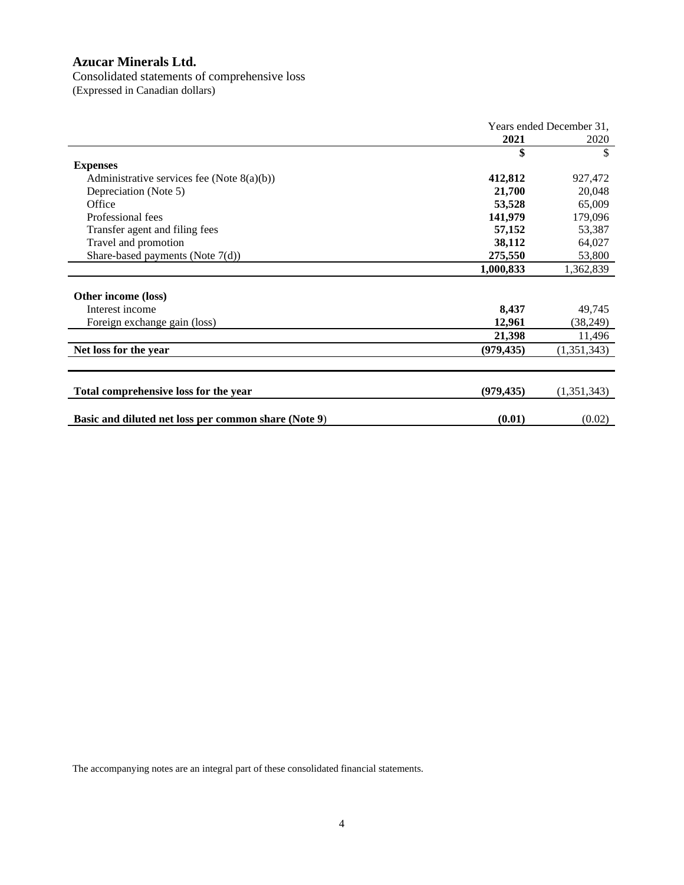# **Azucar Minerals Ltd.**

Consolidated statements of comprehensive loss (Expressed in Canadian dollars)

|                                                      | Years ended December 31, |             |
|------------------------------------------------------|--------------------------|-------------|
|                                                      | 2021                     |             |
|                                                      | \$                       | \$          |
| <b>Expenses</b>                                      |                          |             |
| Administrative services fee (Note $8(a)(b)$ )        | 412,812                  | 927,472     |
| Depreciation (Note 5)                                | 21,700                   | 20,048      |
| Office                                               | 53,528                   | 65,009      |
| Professional fees                                    | 141,979                  | 179,096     |
| Transfer agent and filing fees                       | 57,152                   | 53,387      |
| Travel and promotion                                 | 38,112                   | 64,027      |
| Share-based payments (Note 7(d))                     | 275,550                  | 53,800      |
|                                                      | 1,000,833                | 1,362,839   |
|                                                      |                          |             |
| Other income (loss)                                  |                          |             |
| Interest income                                      | 8,437                    | 49,745      |
| Foreign exchange gain (loss)                         | 12,961                   | (38,249)    |
|                                                      | 21,398                   | 11,496      |
| Net loss for the year                                | (979, 435)               | (1,351,343) |
|                                                      |                          |             |
|                                                      |                          |             |
| Total comprehensive loss for the year                | (979, 435)               | (1,351,343) |
|                                                      |                          |             |
| Basic and diluted net loss per common share (Note 9) | (0.01)                   | (0.02)      |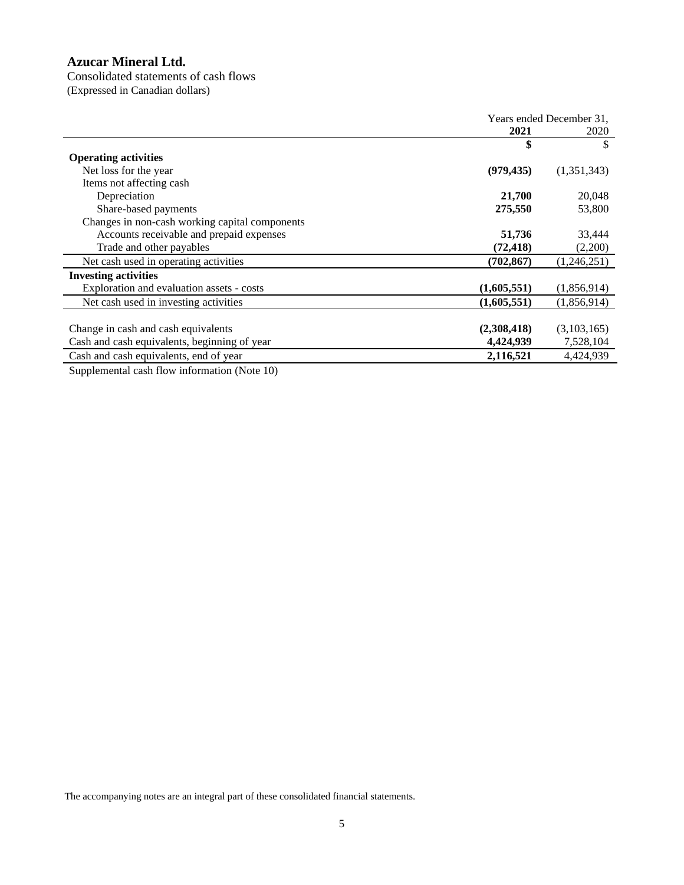# **Azucar Mineral Ltd.**

Consolidated statements of cash flows (Expressed in Canadian dollars)

|                                                | Years ended December 31. |             |
|------------------------------------------------|--------------------------|-------------|
|                                                | 2021                     | 2020        |
|                                                | \$                       |             |
| <b>Operating activities</b>                    |                          |             |
| Net loss for the year                          | (979, 435)               | (1,351,343) |
| Items not affecting cash                       |                          |             |
| Depreciation                                   | 21,700                   | 20,048      |
| Share-based payments                           | 275,550                  | 53,800      |
| Changes in non-cash working capital components |                          |             |
| Accounts receivable and prepaid expenses       | 51,736                   | 33,444      |
| Trade and other payables                       | (72, 418)                | (2,200)     |
| Net cash used in operating activities          | (702, 867)               | (1,246,251) |
| <b>Investing activities</b>                    |                          |             |
| Exploration and evaluation assets - costs      | (1,605,551)              | (1,856,914) |
| Net cash used in investing activities          | (1,605,551)              | (1,856,914) |
|                                                |                          |             |
| Change in cash and cash equivalents            | (2,308,418)              | (3,103,165) |
| Cash and cash equivalents, beginning of year   | 4,424,939                | 7,528,104   |
| Cash and cash equivalents, end of year         | 2,116,521                | 4,424,939   |

Supplemental cash flow information (Note 10)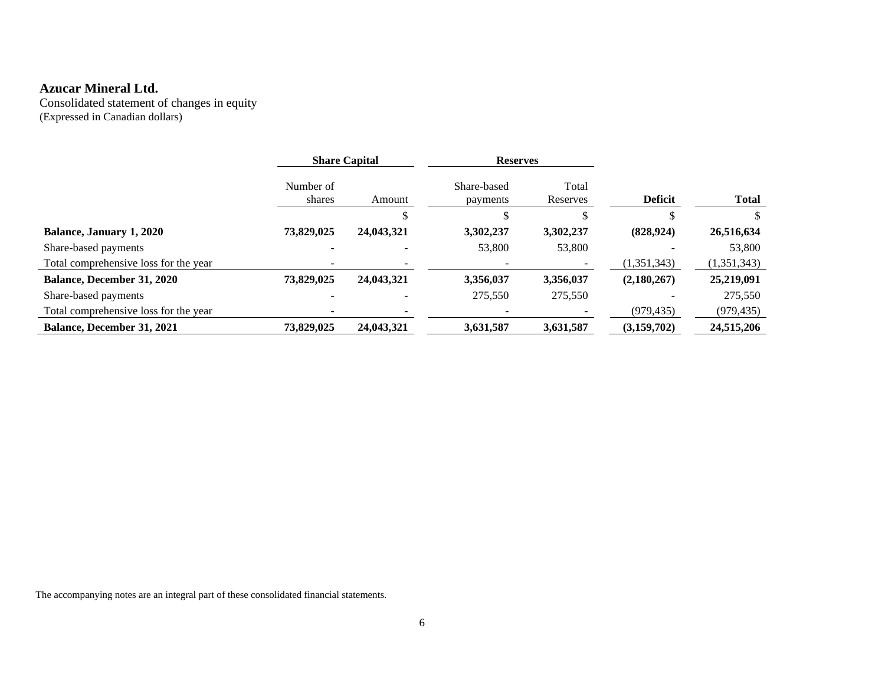# **Azucar Mineral Ltd.**

Consolidated statement of changes in equity (Expressed in Canadian dollars)

|                                       |                     | <b>Share Capital</b> | <b>Reserves</b>         |                          |                |              |
|---------------------------------------|---------------------|----------------------|-------------------------|--------------------------|----------------|--------------|
|                                       | Number of<br>shares | Amount               | Share-based<br>payments | Total<br>Reserves        | <b>Deficit</b> | <b>Total</b> |
|                                       |                     |                      |                         |                          |                |              |
| <b>Balance, January 1, 2020</b>       | 73,829,025          | 24,043,321           | 3,302,237               | 3,302,237                | (828, 924)     | 26,516,634   |
| Share-based payments                  |                     |                      | 53,800                  | 53,800                   |                | 53,800       |
| Total comprehensive loss for the year | ۰                   |                      |                         | $\overline{\phantom{0}}$ | (1,351,343)    | (1,351,343)  |
| <b>Balance, December 31, 2020</b>     | 73,829,025          | 24,043,321           | 3,356,037               | 3,356,037                | (2,180,267)    | 25,219,091   |
| Share-based payments                  |                     |                      | 275,550                 | 275,550                  |                | 275,550      |
| Total comprehensive loss for the year |                     |                      |                         |                          | (979, 435)     | (979, 435)   |
| <b>Balance, December 31, 2021</b>     | 73.829,025          | 24,043,321           | 3,631,587               | 3,631,587                | (3,159,702)    | 24,515,206   |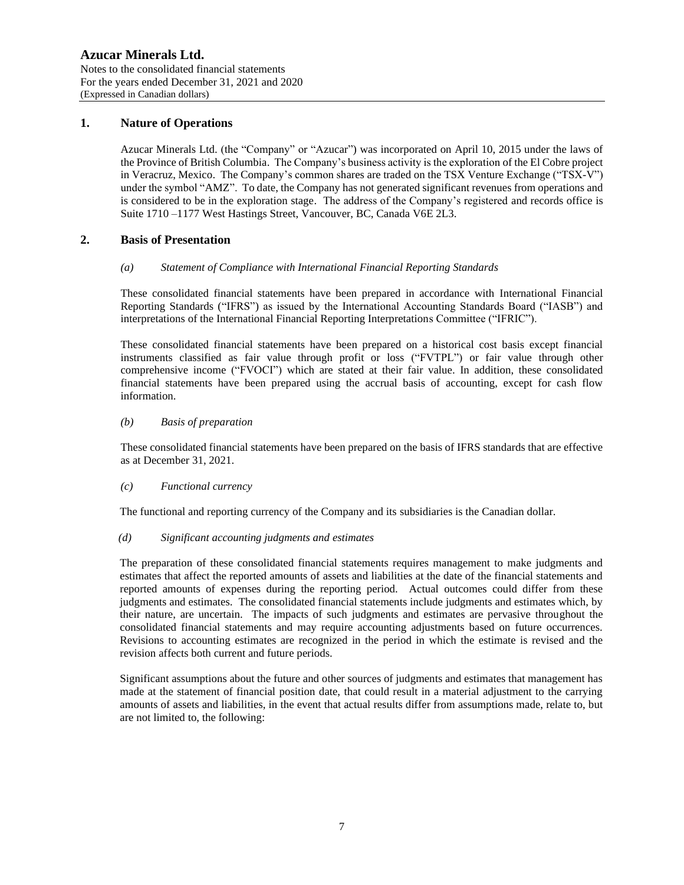# **1. Nature of Operations**

Azucar Minerals Ltd. (the "Company" or "Azucar") was incorporated on April 10, 2015 under the laws of the Province of British Columbia. The Company's business activity is the exploration of the El Cobre project in Veracruz, Mexico. The Company's common shares are traded on the TSX Venture Exchange ("TSX-V") under the symbol "AMZ". To date, the Company has not generated significant revenues from operations and is considered to be in the exploration stage. The address of the Company's registered and records office is Suite 1710 –1177 West Hastings Street, Vancouver, BC, Canada V6E 2L3.

# **2. Basis of Presentation**

### *(a) Statement of Compliance with International Financial Reporting Standards*

These consolidated financial statements have been prepared in accordance with International Financial Reporting Standards ("IFRS") as issued by the International Accounting Standards Board ("IASB") and interpretations of the International Financial Reporting Interpretations Committee ("IFRIC").

These consolidated financial statements have been prepared on a historical cost basis except financial instruments classified as fair value through profit or loss ("FVTPL") or fair value through other comprehensive income ("FVOCI") which are stated at their fair value. In addition, these consolidated financial statements have been prepared using the accrual basis of accounting, except for cash flow information.

#### *(b) Basis of preparation*

These consolidated financial statements have been prepared on the basis of IFRS standards that are effective as at December 31, 2021.

### *(c) Functional currency*

The functional and reporting currency of the Company and its subsidiaries is the Canadian dollar.

### *(d) Significant accounting judgments and estimates*

The preparation of these consolidated financial statements requires management to make judgments and estimates that affect the reported amounts of assets and liabilities at the date of the financial statements and reported amounts of expenses during the reporting period. Actual outcomes could differ from these judgments and estimates. The consolidated financial statements include judgments and estimates which, by their nature, are uncertain. The impacts of such judgments and estimates are pervasive throughout the consolidated financial statements and may require accounting adjustments based on future occurrences. Revisions to accounting estimates are recognized in the period in which the estimate is revised and the revision affects both current and future periods.

Significant assumptions about the future and other sources of judgments and estimates that management has made at the statement of financial position date, that could result in a material adjustment to the carrying amounts of assets and liabilities, in the event that actual results differ from assumptions made, relate to, but are not limited to, the following: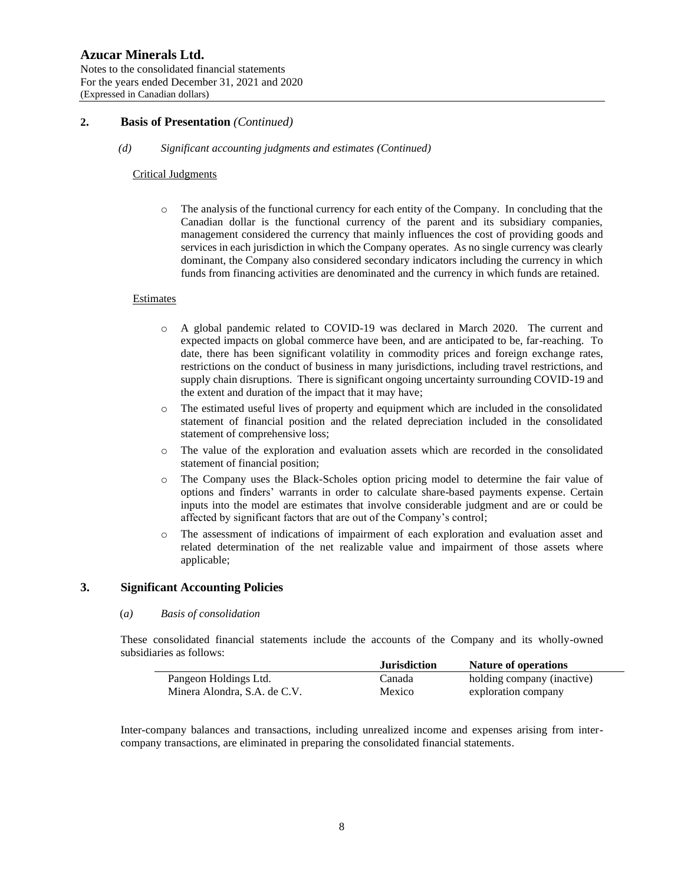#### **2. Basis of Presentation** *(Continued)*

#### *(d) Significant accounting judgments and estimates (Continued)*

#### Critical Judgments

o The analysis of the functional currency for each entity of the Company. In concluding that the Canadian dollar is the functional currency of the parent and its subsidiary companies, management considered the currency that mainly influences the cost of providing goods and services in each jurisdiction in which the Company operates. As no single currency was clearly dominant, the Company also considered secondary indicators including the currency in which funds from financing activities are denominated and the currency in which funds are retained.

#### **Estimates**

- o A global pandemic related to COVID-19 was declared in March 2020. The current and expected impacts on global commerce have been, and are anticipated to be, far-reaching. To date, there has been significant volatility in commodity prices and foreign exchange rates, restrictions on the conduct of business in many jurisdictions, including travel restrictions, and supply chain disruptions. There is significant ongoing uncertainty surrounding COVID-19 and the extent and duration of the impact that it may have;
- o The estimated useful lives of property and equipment which are included in the consolidated statement of financial position and the related depreciation included in the consolidated statement of comprehensive loss;
- o The value of the exploration and evaluation assets which are recorded in the consolidated statement of financial position;
- o The Company uses the Black-Scholes option pricing model to determine the fair value of options and finders' warrants in order to calculate share-based payments expense. Certain inputs into the model are estimates that involve considerable judgment and are or could be affected by significant factors that are out of the Company's control;
- o The assessment of indications of impairment of each exploration and evaluation asset and related determination of the net realizable value and impairment of those assets where applicable;

#### **3. Significant Accounting Policies**

#### (*a) Basis of consolidation*

These consolidated financial statements include the accounts of the Company and its wholly-owned subsidiaries as follows:

|                              | <b>Jurisdiction</b> | <b>Nature of operations</b> |
|------------------------------|---------------------|-----------------------------|
| Pangeon Holdings Ltd.        | Canada              | holding company (inactive)  |
| Minera Alondra, S.A. de C.V. | Mexico              | exploration company         |

Inter-company balances and transactions, including unrealized income and expenses arising from intercompany transactions, are eliminated in preparing the consolidated financial statements.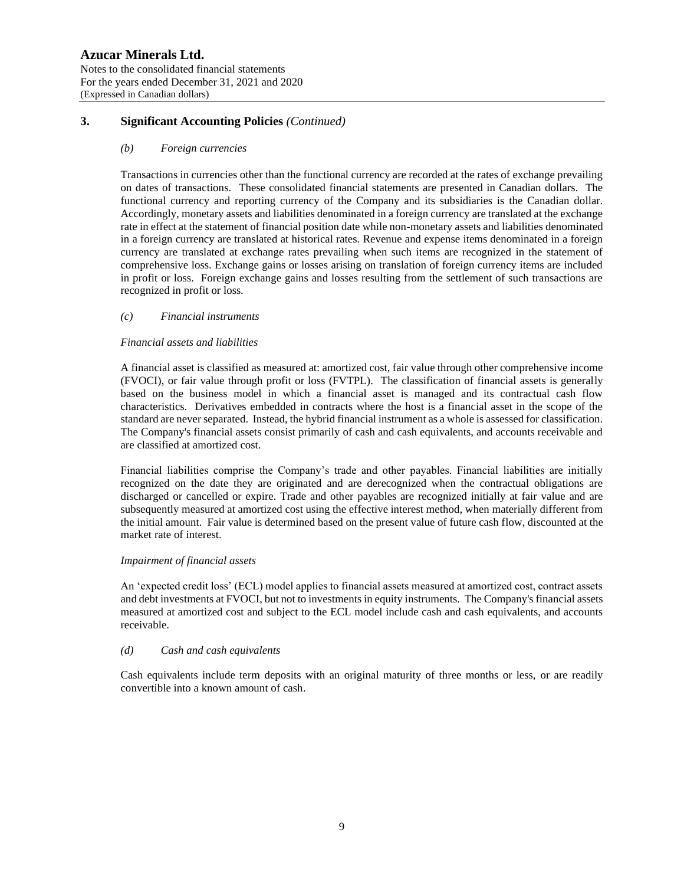### *(b) Foreign currencies*

Transactions in currencies other than the functional currency are recorded at the rates of exchange prevailing on dates of transactions. These consolidated financial statements are presented in Canadian dollars. The functional currency and reporting currency of the Company and its subsidiaries is the Canadian dollar. Accordingly, monetary assets and liabilities denominated in a foreign currency are translated at the exchange rate in effect at the statement of financial position date while non-monetary assets and liabilities denominated in a foreign currency are translated at historical rates. Revenue and expense items denominated in a foreign currency are translated at exchange rates prevailing when such items are recognized in the statement of comprehensive loss. Exchange gains or losses arising on translation of foreign currency items are included in profit or loss. Foreign exchange gains and losses resulting from the settlement of such transactions are recognized in profit or loss*.*

#### *(c) Financial instruments*

#### *Financial assets and liabilities*

A financial asset is classified as measured at: amortized cost, fair value through other comprehensive income (FVOCI), or fair value through profit or loss (FVTPL). The classification of financial assets is generally based on the business model in which a financial asset is managed and its contractual cash flow characteristics. Derivatives embedded in contracts where the host is a financial asset in the scope of the standard are never separated. Instead, the hybrid financial instrument as a whole is assessed for classification. The Company's financial assets consist primarily of cash and cash equivalents, and accounts receivable and are classified at amortized cost.

Financial liabilities comprise the Company's trade and other payables. Financial liabilities are initially recognized on the date they are originated and are derecognized when the contractual obligations are discharged or cancelled or expire. Trade and other payables are recognized initially at fair value and are subsequently measured at amortized cost using the effective interest method, when materially different from the initial amount. Fair value is determined based on the present value of future cash flow, discounted at the market rate of interest.

#### *Impairment of financial assets*

An 'expected credit loss' (ECL) model applies to financial assets measured at amortized cost, contract assets and debt investments at FVOCI, but not to investments in equity instruments. The Company's financial assets measured at amortized cost and subject to the ECL model include cash and cash equivalents, and accounts receivable.

#### *(d) Cash and cash equivalents*

Cash equivalents include term deposits with an original maturity of three months or less, or are readily convertible into a known amount of cash.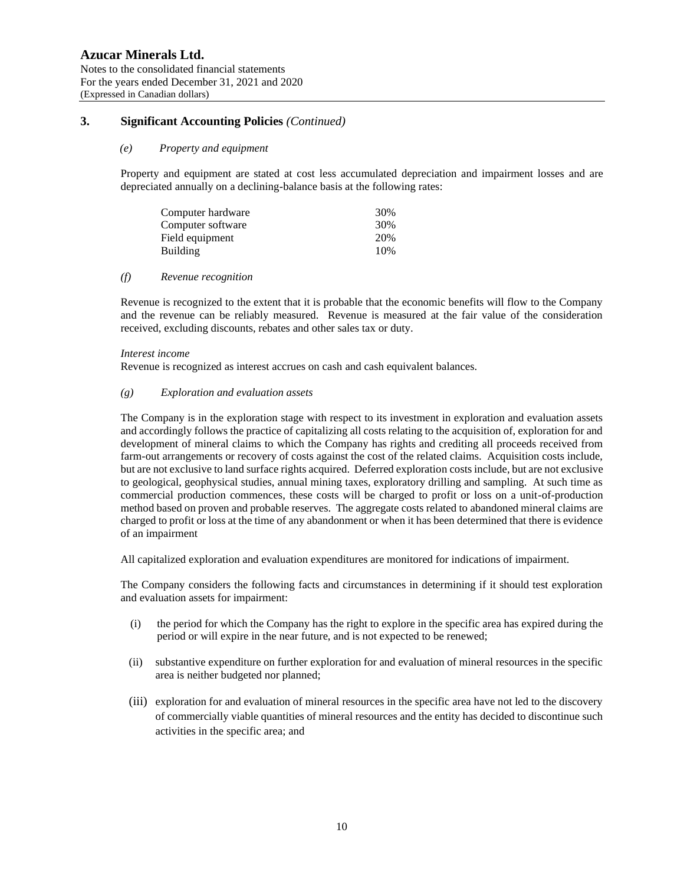#### *(e) Property and equipment*

Property and equipment are stated at cost less accumulated depreciation and impairment losses and are depreciated annually on a declining-balance basis at the following rates:

| Computer hardware | 30% |
|-------------------|-----|
| Computer software | 30% |
| Field equipment   | 20% |
| <b>Building</b>   | 10% |

#### *(f) Revenue recognition*

Revenue is recognized to the extent that it is probable that the economic benefits will flow to the Company and the revenue can be reliably measured. Revenue is measured at the fair value of the consideration received, excluding discounts, rebates and other sales tax or duty.

#### *Interest income*

Revenue is recognized as interest accrues on cash and cash equivalent balances.

#### *(g) Exploration and evaluation assets*

The Company is in the exploration stage with respect to its investment in exploration and evaluation assets and accordingly follows the practice of capitalizing all costs relating to the acquisition of, exploration for and development of mineral claims to which the Company has rights and crediting all proceeds received from farm-out arrangements or recovery of costs against the cost of the related claims. Acquisition costs include, but are not exclusive to land surface rights acquired. Deferred exploration costs include, but are not exclusive to geological, geophysical studies, annual mining taxes, exploratory drilling and sampling. At such time as commercial production commences, these costs will be charged to profit or loss on a unit-of-production method based on proven and probable reserves. The aggregate costs related to abandoned mineral claims are charged to profit or loss at the time of any abandonment or when it has been determined that there is evidence of an impairment

All capitalized exploration and evaluation expenditures are monitored for indications of impairment.

The Company considers the following facts and circumstances in determining if it should test exploration and evaluation assets for impairment:

- (i) the period for which the Company has the right to explore in the specific area has expired during the period or will expire in the near future, and is not expected to be renewed;
- (ii) substantive expenditure on further exploration for and evaluation of mineral resources in the specific area is neither budgeted nor planned;
- (iii) exploration for and evaluation of mineral resources in the specific area have not led to the discovery of commercially viable quantities of mineral resources and the entity has decided to discontinue such activities in the specific area; and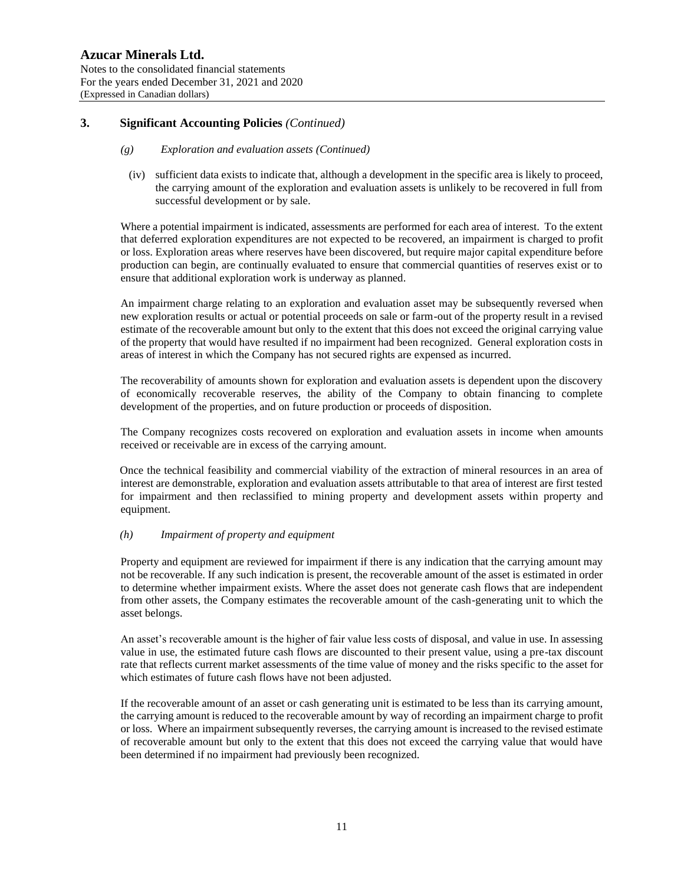#### *(g) Exploration and evaluation assets (Continued)*

(iv) sufficient data exists to indicate that, although a development in the specific area is likely to proceed, the carrying amount of the exploration and evaluation assets is unlikely to be recovered in full from successful development or by sale.

Where a potential impairment is indicated, assessments are performed for each area of interest. To the extent that deferred exploration expenditures are not expected to be recovered, an impairment is charged to profit or loss. Exploration areas where reserves have been discovered, but require major capital expenditure before production can begin, are continually evaluated to ensure that commercial quantities of reserves exist or to ensure that additional exploration work is underway as planned.

An impairment charge relating to an exploration and evaluation asset may be subsequently reversed when new exploration results or actual or potential proceeds on sale or farm-out of the property result in a revised estimate of the recoverable amount but only to the extent that this does not exceed the original carrying value of the property that would have resulted if no impairment had been recognized. General exploration costs in areas of interest in which the Company has not secured rights are expensed as incurred.

The recoverability of amounts shown for exploration and evaluation assets is dependent upon the discovery of economically recoverable reserves, the ability of the Company to obtain financing to complete development of the properties, and on future production or proceeds of disposition.

The Company recognizes costs recovered on exploration and evaluation assets in income when amounts received or receivable are in excess of the carrying amount.

Once the technical feasibility and commercial viability of the extraction of mineral resources in an area of interest are demonstrable, exploration and evaluation assets attributable to that area of interest are first tested for impairment and then reclassified to mining property and development assets within property and equipment.

#### *(h) Impairment of property and equipment*

Property and equipment are reviewed for impairment if there is any indication that the carrying amount may not be recoverable. If any such indication is present, the recoverable amount of the asset is estimated in order to determine whether impairment exists. Where the asset does not generate cash flows that are independent from other assets, the Company estimates the recoverable amount of the cash-generating unit to which the asset belongs.

An asset's recoverable amount is the higher of fair value less costs of disposal, and value in use. In assessing value in use, the estimated future cash flows are discounted to their present value, using a pre-tax discount rate that reflects current market assessments of the time value of money and the risks specific to the asset for which estimates of future cash flows have not been adjusted.

If the recoverable amount of an asset or cash generating unit is estimated to be less than its carrying amount, the carrying amount is reduced to the recoverable amount by way of recording an impairment charge to profit or loss. Where an impairment subsequently reverses, the carrying amount is increased to the revised estimate of recoverable amount but only to the extent that this does not exceed the carrying value that would have been determined if no impairment had previously been recognized.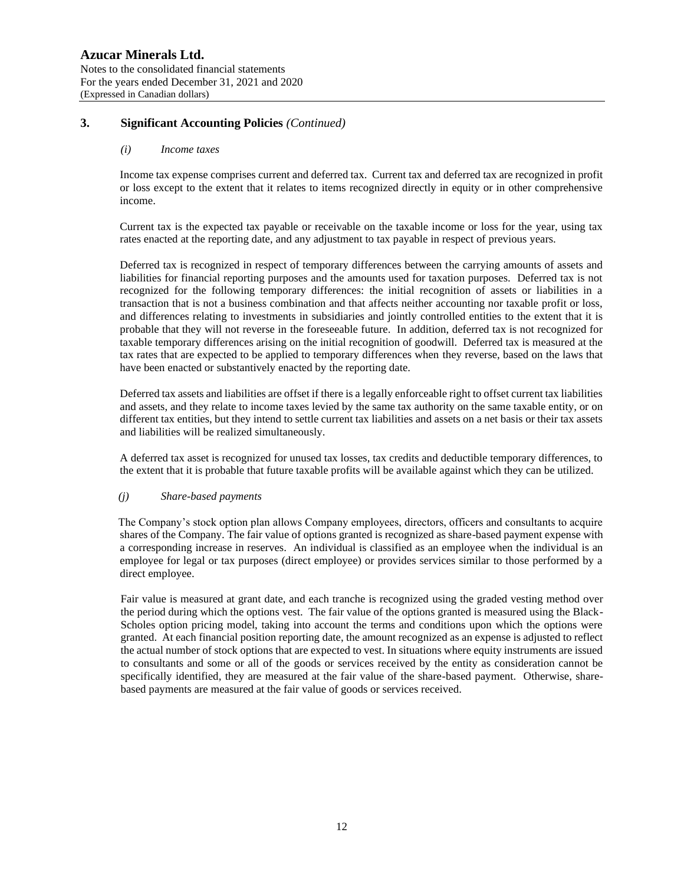#### *(i) Income taxes*

Income tax expense comprises current and deferred tax. Current tax and deferred tax are recognized in profit or loss except to the extent that it relates to items recognized directly in equity or in other comprehensive income.

Current tax is the expected tax payable or receivable on the taxable income or loss for the year, using tax rates enacted at the reporting date, and any adjustment to tax payable in respect of previous years.

Deferred tax is recognized in respect of temporary differences between the carrying amounts of assets and liabilities for financial reporting purposes and the amounts used for taxation purposes. Deferred tax is not recognized for the following temporary differences: the initial recognition of assets or liabilities in a transaction that is not a business combination and that affects neither accounting nor taxable profit or loss, and differences relating to investments in subsidiaries and jointly controlled entities to the extent that it is probable that they will not reverse in the foreseeable future. In addition, deferred tax is not recognized for taxable temporary differences arising on the initial recognition of goodwill. Deferred tax is measured at the tax rates that are expected to be applied to temporary differences when they reverse, based on the laws that have been enacted or substantively enacted by the reporting date.

Deferred tax assets and liabilities are offset if there is a legally enforceable right to offset current tax liabilities and assets, and they relate to income taxes levied by the same tax authority on the same taxable entity, or on different tax entities, but they intend to settle current tax liabilities and assets on a net basis or their tax assets and liabilities will be realized simultaneously.

A deferred tax asset is recognized for unused tax losses, tax credits and deductible temporary differences, to the extent that it is probable that future taxable profits will be available against which they can be utilized.

#### *(j) Share-based payments*

The Company's stock option plan allows Company employees, directors, officers and consultants to acquire shares of the Company. The fair value of options granted is recognized as share-based payment expense with a corresponding increase in reserves. An individual is classified as an employee when the individual is an employee for legal or tax purposes (direct employee) or provides services similar to those performed by a direct employee.

Fair value is measured at grant date, and each tranche is recognized using the graded vesting method over the period during which the options vest. The fair value of the options granted is measured using the Black-Scholes option pricing model, taking into account the terms and conditions upon which the options were granted. At each financial position reporting date, the amount recognized as an expense is adjusted to reflect the actual number of stock options that are expected to vest. In situations where equity instruments are issued to consultants and some or all of the goods or services received by the entity as consideration cannot be specifically identified, they are measured at the fair value of the share-based payment. Otherwise, sharebased payments are measured at the fair value of goods or services received.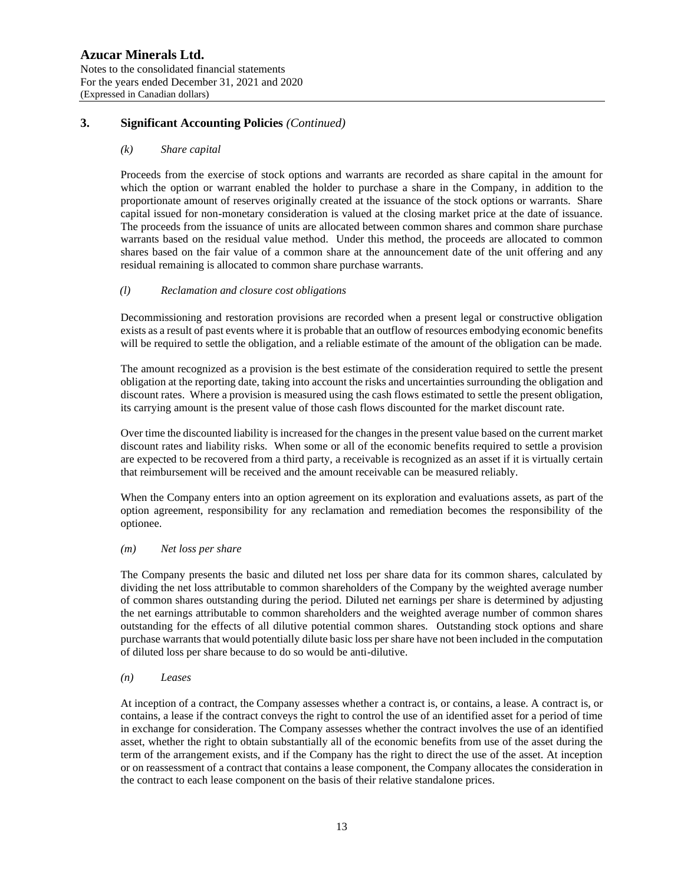#### *(k) Share capital*

Proceeds from the exercise of stock options and warrants are recorded as share capital in the amount for which the option or warrant enabled the holder to purchase a share in the Company, in addition to the proportionate amount of reserves originally created at the issuance of the stock options or warrants. Share capital issued for non-monetary consideration is valued at the closing market price at the date of issuance. The proceeds from the issuance of units are allocated between common shares and common share purchase warrants based on the residual value method. Under this method, the proceeds are allocated to common shares based on the fair value of a common share at the announcement date of the unit offering and any residual remaining is allocated to common share purchase warrants.

#### *(l) Reclamation and closure cost obligations*

Decommissioning and restoration provisions are recorded when a present legal or constructive obligation exists as a result of past events where it is probable that an outflow of resources embodying economic benefits will be required to settle the obligation, and a reliable estimate of the amount of the obligation can be made.

The amount recognized as a provision is the best estimate of the consideration required to settle the present obligation at the reporting date, taking into account the risks and uncertainties surrounding the obligation and discount rates. Where a provision is measured using the cash flows estimated to settle the present obligation, its carrying amount is the present value of those cash flows discounted for the market discount rate.

Over time the discounted liability is increased for the changes in the present value based on the current market discount rates and liability risks. When some or all of the economic benefits required to settle a provision are expected to be recovered from a third party, a receivable is recognized as an asset if it is virtually certain that reimbursement will be received and the amount receivable can be measured reliably.

When the Company enters into an option agreement on its exploration and evaluations assets, as part of the option agreement, responsibility for any reclamation and remediation becomes the responsibility of the optionee.

#### *(m) Net loss per share*

The Company presents the basic and diluted net loss per share data for its common shares, calculated by dividing the net loss attributable to common shareholders of the Company by the weighted average number of common shares outstanding during the period. Diluted net earnings per share is determined by adjusting the net earnings attributable to common shareholders and the weighted average number of common shares outstanding for the effects of all dilutive potential common shares. Outstanding stock options and share purchase warrants that would potentially dilute basic loss per share have not been included in the computation of diluted loss per share because to do so would be anti-dilutive.

#### *(n) Leases*

At inception of a contract, the Company assesses whether a contract is, or contains, a lease. A contract is, or contains, a lease if the contract conveys the right to control the use of an identified asset for a period of time in exchange for consideration. The Company assesses whether the contract involves the use of an identified asset, whether the right to obtain substantially all of the economic benefits from use of the asset during the term of the arrangement exists, and if the Company has the right to direct the use of the asset. At inception or on reassessment of a contract that contains a lease component, the Company allocates the consideration in the contract to each lease component on the basis of their relative standalone prices.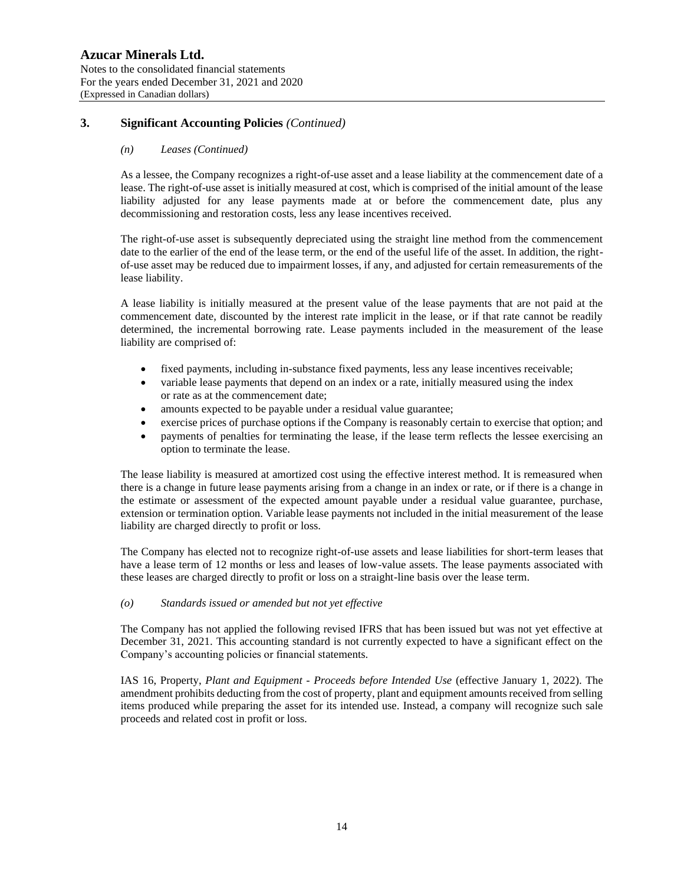#### *(n) Leases (Continued)*

As a lessee, the Company recognizes a right-of-use asset and a lease liability at the commencement date of a lease. The right-of-use asset is initially measured at cost, which is comprised of the initial amount of the lease liability adjusted for any lease payments made at or before the commencement date, plus any decommissioning and restoration costs, less any lease incentives received.

The right-of-use asset is subsequently depreciated using the straight line method from the commencement date to the earlier of the end of the lease term, or the end of the useful life of the asset. In addition, the rightof-use asset may be reduced due to impairment losses, if any, and adjusted for certain remeasurements of the lease liability.

A lease liability is initially measured at the present value of the lease payments that are not paid at the commencement date, discounted by the interest rate implicit in the lease, or if that rate cannot be readily determined, the incremental borrowing rate. Lease payments included in the measurement of the lease liability are comprised of:

- fixed payments, including in-substance fixed payments, less any lease incentives receivable;
- variable lease payments that depend on an index or a rate, initially measured using the index or rate as at the commencement date;
- amounts expected to be payable under a residual value guarantee;
- exercise prices of purchase options if the Company is reasonably certain to exercise that option; and
- payments of penalties for terminating the lease, if the lease term reflects the lessee exercising an option to terminate the lease.

The lease liability is measured at amortized cost using the effective interest method. It is remeasured when there is a change in future lease payments arising from a change in an index or rate, or if there is a change in the estimate or assessment of the expected amount payable under a residual value guarantee, purchase, extension or termination option. Variable lease payments not included in the initial measurement of the lease liability are charged directly to profit or loss.

The Company has elected not to recognize right-of-use assets and lease liabilities for short-term leases that have a lease term of 12 months or less and leases of low-value assets. The lease payments associated with these leases are charged directly to profit or loss on a straight-line basis over the lease term.

#### *(o) Standards issued or amended but not yet effective*

The Company has not applied the following revised IFRS that has been issued but was not yet effective at December 31, 2021. This accounting standard is not currently expected to have a significant effect on the Company's accounting policies or financial statements.

IAS 16, Property, *Plant and Equipment - Proceeds before Intended Use* (effective January 1, 2022). The amendment prohibits deducting from the cost of property, plant and equipment amounts received from selling items produced while preparing the asset for its intended use. Instead, a company will recognize such sale proceeds and related cost in profit or loss.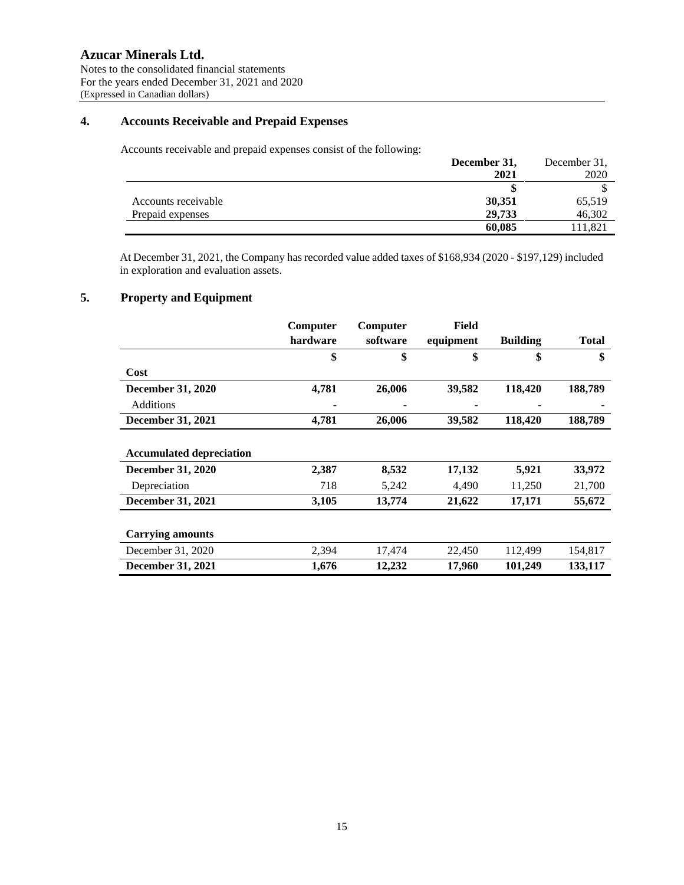# **Azucar Minerals Ltd.** Notes to the consolidated financial statements For the years ended December 31, 2021 and 2020 (Expressed in Canadian dollars)

# **4. Accounts Receivable and Prepaid Expenses**

Accounts receivable and prepaid expenses consist of the following:

|                     | December 31, | December 31. |
|---------------------|--------------|--------------|
|                     | 2021         | 2020         |
|                     |              |              |
| Accounts receivable | 30,351       | 65,519       |
| Prepaid expenses    | 29,733       | 46,302       |
|                     | 60,085       | 11,821       |

At December 31, 2021, the Company has recorded value added taxes of \$168,934 (2020 - \$197,129) included in exploration and evaluation assets.

# **5. Property and Equipment**

|                                 | Computer | Computer | Field     |                 |              |
|---------------------------------|----------|----------|-----------|-----------------|--------------|
|                                 | hardware | software | equipment | <b>Building</b> | <b>Total</b> |
|                                 | \$       | \$       | \$        | \$              | \$           |
| Cost                            |          |          |           |                 |              |
| <b>December 31, 2020</b>        | 4,781    | 26,006   | 39,582    | 118,420         | 188,789      |
| <b>Additions</b>                |          |          |           |                 |              |
| <b>December 31, 2021</b>        | 4,781    | 26,006   | 39,582    | 118,420         | 188,789      |
|                                 |          |          |           |                 |              |
| <b>Accumulated depreciation</b> |          |          |           |                 |              |
| <b>December 31, 2020</b>        | 2,387    | 8,532    | 17,132    | 5,921           | 33,972       |
| Depreciation                    | 718      | 5,242    | 4.490     | 11,250          | 21,700       |
| <b>December 31, 2021</b>        | 3,105    | 13,774   | 21,622    | 17,171          | 55,672       |
|                                 |          |          |           |                 |              |
| <b>Carrying amounts</b>         |          |          |           |                 |              |
| December 31, 2020               | 2,394    | 17,474   | 22,450    | 112,499         | 154,817      |
| <b>December 31, 2021</b>        | 1,676    | 12,232   | 17,960    | 101,249         | 133,117      |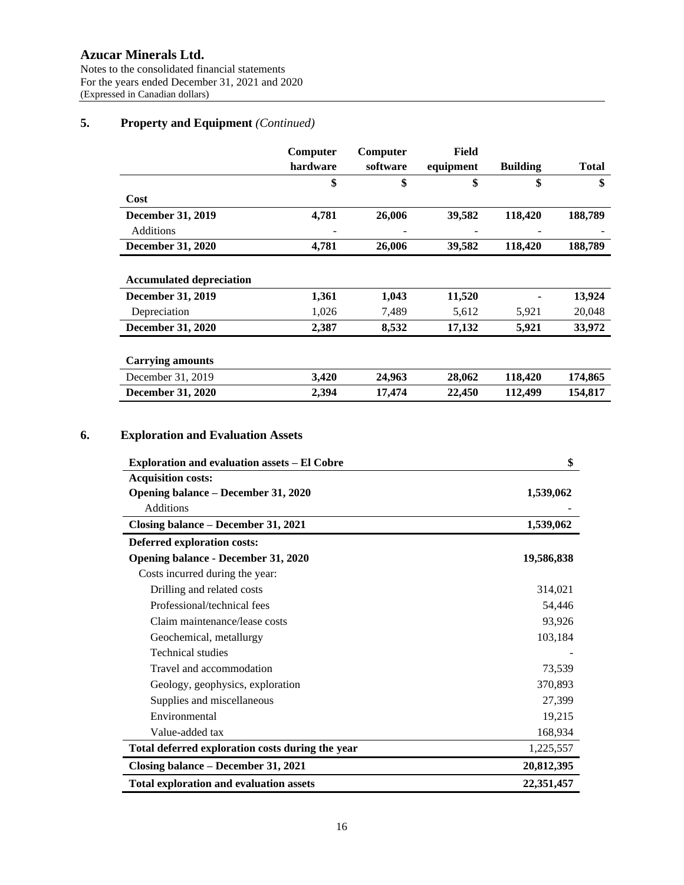# **Azucar Minerals Ltd.**

Notes to the consolidated financial statements For the years ended December 31, 2021 and 2020 (Expressed in Canadian dollars)

# **5. Property and Equipment** *(Continued)*

|                                 | Computer | Computer | Field     |                 |              |
|---------------------------------|----------|----------|-----------|-----------------|--------------|
|                                 | hardware | software | equipment | <b>Building</b> | <b>Total</b> |
|                                 | \$       | \$       | \$        | \$              | \$           |
| Cost                            |          |          |           |                 |              |
| <b>December 31, 2019</b>        | 4,781    | 26,006   | 39,582    | 118,420         | 188,789      |
| <b>Additions</b>                |          |          |           |                 |              |
| <b>December 31, 2020</b>        | 4,781    | 26,006   | 39,582    | 118,420         | 188,789      |
|                                 |          |          |           |                 |              |
| <b>Accumulated depreciation</b> |          |          |           |                 |              |
| <b>December 31, 2019</b>        | 1,361    | 1,043    | 11,520    |                 | 13,924       |
| Depreciation                    | 1,026    | 7,489    | 5,612     | 5,921           | 20,048       |
| <b>December 31, 2020</b>        | 2,387    | 8,532    | 17,132    | 5,921           | 33,972       |
|                                 |          |          |           |                 |              |
| <b>Carrying amounts</b>         |          |          |           |                 |              |
| December 31, 2019               | 3,420    | 24,963   | 28,062    | 118,420         | 174,865      |
| <b>December 31, 2020</b>        | 2,394    | 17,474   | 22,450    | 112,499         | 154,817      |

# **6. Exploration and Evaluation Assets**

| <b>Exploration and evaluation assets - El Cobre</b> | \$         |
|-----------------------------------------------------|------------|
| <b>Acquisition costs:</b>                           |            |
| <b>Opening balance – December 31, 2020</b>          | 1,539,062  |
| Additions                                           |            |
| Closing balance – December 31, 2021                 | 1,539,062  |
| Deferred exploration costs:                         |            |
| <b>Opening balance - December 31, 2020</b>          | 19,586,838 |
| Costs incurred during the year:                     |            |
| Drilling and related costs                          | 314,021    |
| Professional/technical fees                         | 54,446     |
| Claim maintenance/lease costs                       | 93,926     |
| Geochemical, metallurgy                             | 103,184    |
| Technical studies                                   |            |
| Travel and accommodation                            | 73,539     |
| Geology, geophysics, exploration                    | 370,893    |
| Supplies and miscellaneous                          | 27,399     |
| Environmental                                       | 19,215     |
| Value-added tax                                     | 168,934    |
| Total deferred exploration costs during the year    | 1,225,557  |
| Closing balance – December 31, 2021                 | 20,812,395 |
| <b>Total exploration and evaluation assets</b>      | 22,351,457 |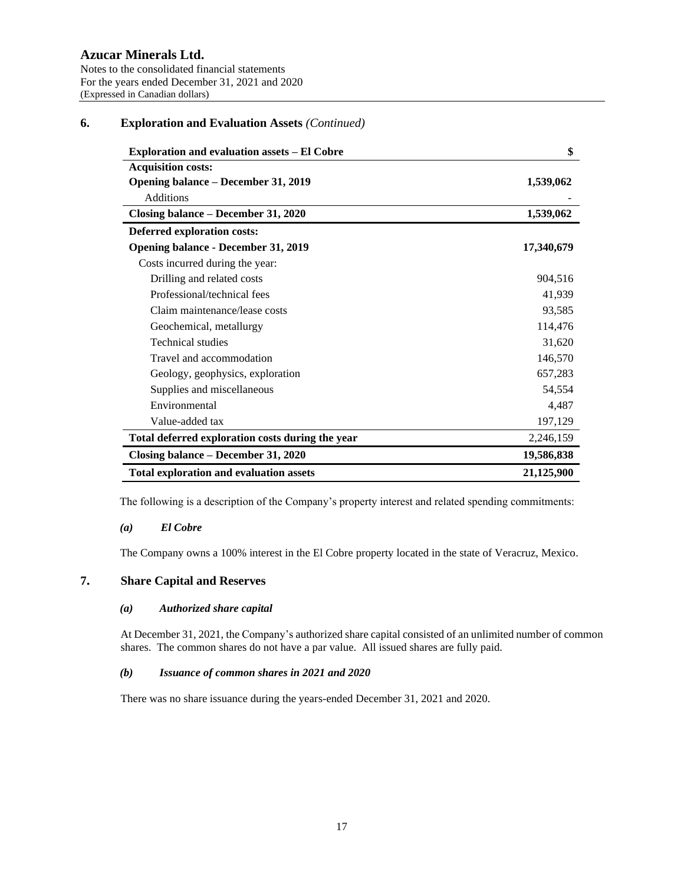# **Azucar Minerals Ltd.** Notes to the consolidated financial statements For the years ended December 31, 2021 and 2020 (Expressed in Canadian dollars)

# **6. Exploration and Evaluation Assets** *(Continued)*

| <b>Exploration and evaluation assets - El Cobre</b> | \$         |
|-----------------------------------------------------|------------|
| <b>Acquisition costs:</b>                           |            |
| <b>Opening balance – December 31, 2019</b>          | 1,539,062  |
| <b>Additions</b>                                    |            |
| Closing balance - December 31, 2020                 | 1,539,062  |
| Deferred exploration costs:                         |            |
| <b>Opening balance - December 31, 2019</b>          | 17,340,679 |
| Costs incurred during the year:                     |            |
| Drilling and related costs                          | 904,516    |
| Professional/technical fees                         | 41,939     |
| Claim maintenance/lease costs                       | 93,585     |
| Geochemical, metallurgy                             | 114,476    |
| Technical studies                                   | 31,620     |
| Travel and accommodation                            | 146,570    |
| Geology, geophysics, exploration                    | 657,283    |
| Supplies and miscellaneous                          | 54,554     |
| Environmental                                       | 4,487      |
| Value-added tax                                     | 197,129    |
| Total deferred exploration costs during the year    | 2,246,159  |
| Closing balance - December 31, 2020                 | 19,586,838 |
| <b>Total exploration and evaluation assets</b>      | 21,125,900 |

The following is a description of the Company's property interest and related spending commitments:

### *(a) El Cobre*

The Company owns a 100% interest in the El Cobre property located in the state of Veracruz, Mexico.

# **7. Share Capital and Reserves**

#### *(a) Authorized share capital*

At December 31, 2021, the Company's authorized share capital consisted of an unlimited number of common shares. The common shares do not have a par value. All issued shares are fully paid.

#### *(b) Issuance of common shares in 2021 and 2020*

There was no share issuance during the years-ended December 31, 2021 and 2020.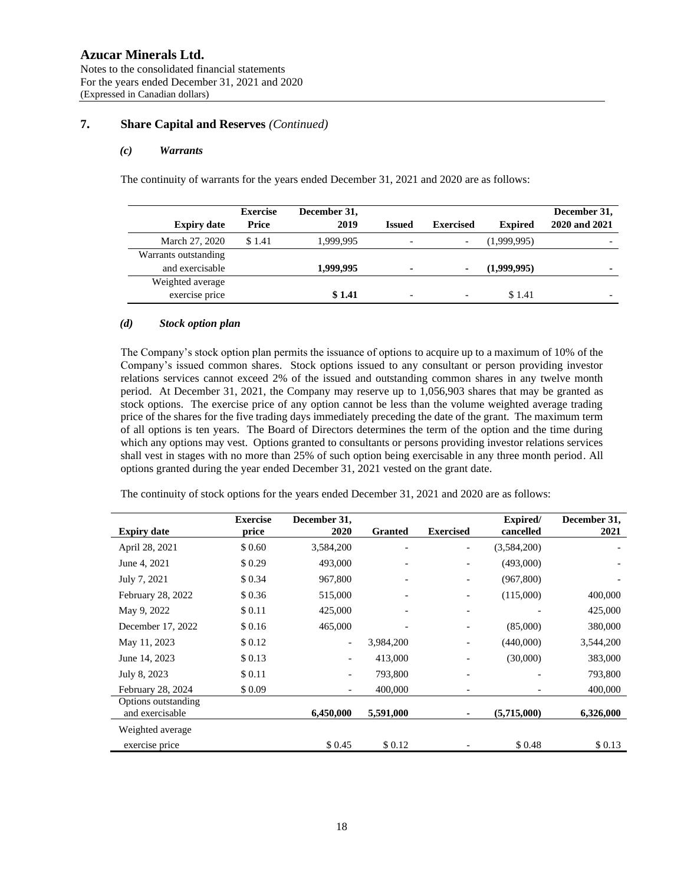# **7. Share Capital and Reserves** *(Continued)*

#### *(c) Warrants*

The continuity of warrants for the years ended December 31, 2021 and 2020 are as follows:

|                      | <b>Exercise</b> | December 31, |                          |                  |                | December 31,  |
|----------------------|-----------------|--------------|--------------------------|------------------|----------------|---------------|
| <b>Expiry date</b>   | Price           | 2019         | <b>Issued</b>            | <b>Exercised</b> | <b>Expired</b> | 2020 and 2021 |
| March 27, 2020       | \$1.41          | 1,999,995    | $\overline{\phantom{0}}$ |                  | (1,999,995)    |               |
| Warrants outstanding |                 |              |                          |                  |                |               |
| and exercisable      |                 | 1,999,995    | ۰                        | ۰                | (1,999,995)    |               |
| Weighted average     |                 |              |                          |                  |                |               |
| exercise price       |                 | \$1.41       | $\overline{\phantom{0}}$ |                  | \$1.41         |               |

#### *(d) Stock option plan*

The Company's stock option plan permits the issuance of options to acquire up to a maximum of 10% of the Company's issued common shares. Stock options issued to any consultant or person providing investor relations services cannot exceed 2% of the issued and outstanding common shares in any twelve month period. At December 31, 2021, the Company may reserve up to 1,056,903 shares that may be granted as stock options. The exercise price of any option cannot be less than the volume weighted average trading price of the shares for the five trading days immediately preceding the date of the grant. The maximum term of all options is ten years. The Board of Directors determines the term of the option and the time during which any options may vest. Options granted to consultants or persons providing investor relations services shall vest in stages with no more than 25% of such option being exercisable in any three month period. All options granted during the year ended December 31, 2021 vested on the grant date.

The continuity of stock options for the years ended December 31, 2021 and 2020 are as follows:

| <b>Expiry date</b>                     | <b>Exercise</b><br>price | December 31,<br>2020         | <b>Granted</b> | <b>Exercised</b>         | Expired/<br>cancelled | December 31,<br>2021 |
|----------------------------------------|--------------------------|------------------------------|----------------|--------------------------|-----------------------|----------------------|
| April 28, 2021                         | \$ 0.60                  | 3,584,200                    |                |                          | (3,584,200)           |                      |
|                                        |                          |                              |                | $\overline{\phantom{a}}$ |                       |                      |
| June 4, 2021                           | \$0.29                   | 493,000                      |                |                          | (493,000)             |                      |
| July 7, 2021                           | \$0.34                   | 967,800                      |                |                          | (967, 800)            |                      |
| February 28, 2022                      | \$0.36                   | 515,000                      |                |                          | (115,000)             | 400,000              |
| May 9, 2022                            | \$0.11                   | 425,000                      |                |                          |                       | 425,000              |
| December 17, 2022                      | \$0.16                   | 465,000                      |                |                          | (85,000)              | 380,000              |
| May 11, 2023                           | \$0.12                   | $\overline{\phantom{a}}$     | 3,984,200      |                          | (440,000)             | 3,544,200            |
| June 14, 2023                          | \$0.13                   | $\overline{\phantom{a}}$     | 413,000        |                          | (30,000)              | 383,000              |
| July 8, 2023                           | \$0.11                   | $\overline{\phantom{a}}$     | 793,800        |                          |                       | 793,800              |
| February 28, 2024                      | \$0.09                   | $\qquad \qquad \blacksquare$ | 400,000        |                          |                       | 400,000              |
| Options outstanding<br>and exercisable |                          | 6,450,000                    | 5,591,000      |                          | (5,715,000)           | 6,326,000            |
| Weighted average                       |                          |                              |                |                          |                       |                      |
| exercise price                         |                          | \$ 0.45                      | \$0.12         |                          | \$0.48                | \$0.13               |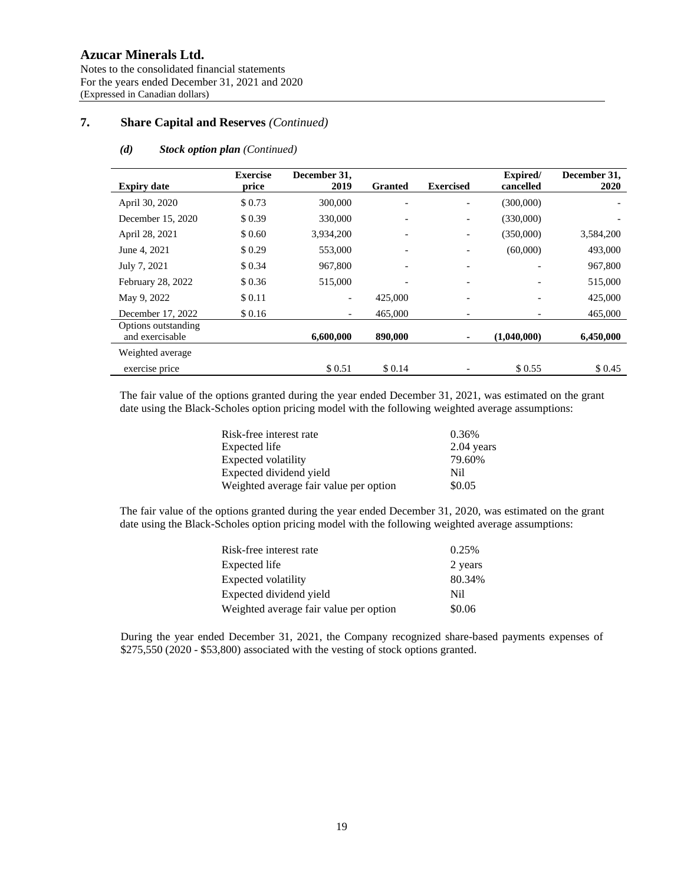# **Azucar Minerals Ltd.**

Notes to the consolidated financial statements For the years ended December 31, 2021 and 2020 (Expressed in Canadian dollars)

# **7. Share Capital and Reserves** *(Continued)*

| <b>Expiry date</b>                     | <b>Exercise</b><br>price | December 31,<br>2019     | <b>Granted</b> | <b>Exercised</b> | Expired/<br>cancelled | December 31,<br>2020 |
|----------------------------------------|--------------------------|--------------------------|----------------|------------------|-----------------------|----------------------|
| April 30, 2020                         | \$0.73                   | 300,000                  |                |                  | (300,000)             |                      |
| December 15, 2020                      | \$0.39                   | 330,000                  |                |                  | (330,000)             |                      |
| April 28, 2021                         | \$0.60                   | 3,934,200                |                |                  | (350,000)             | 3,584,200            |
| June 4, 2021                           | \$0.29                   | 553,000                  |                |                  | (60,000)              | 493,000              |
| July 7, 2021                           | \$0.34                   | 967,800                  |                |                  |                       | 967,800              |
| February 28, 2022                      | \$0.36                   | 515,000                  |                |                  |                       | 515,000              |
| May 9, 2022                            | \$0.11                   | $\overline{\phantom{a}}$ | 425,000        |                  |                       | 425,000              |
| December 17, 2022                      | \$0.16                   | $\overline{\phantom{a}}$ | 465,000        |                  |                       | 465,000              |
| Options outstanding<br>and exercisable |                          | 6.600.000                | 890,000        | $\sim$           | (1,040,000)           | 6,450,000            |
| Weighted average                       |                          |                          |                |                  |                       |                      |
| exercise price                         |                          | \$0.51                   | \$0.14         |                  | \$0.55                | \$0.45               |

#### *(d) Stock option plan (Continued)*

The fair value of the options granted during the year ended December 31, 2021, was estimated on the grant date using the Black-Scholes option pricing model with the following weighted average assumptions:

| Risk-free interest rate                | $0.36\%$   |
|----------------------------------------|------------|
| Expected life                          | 2.04 years |
| Expected volatility                    | 79.60%     |
| Expected dividend yield                | Nil        |
| Weighted average fair value per option | \$0.05     |

The fair value of the options granted during the year ended December 31, 2020, was estimated on the grant date using the Black-Scholes option pricing model with the following weighted average assumptions:

| Risk-free interest rate                | 0.25%   |
|----------------------------------------|---------|
| Expected life                          | 2 years |
| Expected volatility                    | 80.34%  |
| Expected dividend yield                | Nil     |
| Weighted average fair value per option | \$0.06  |

During the year ended December 31, 2021, the Company recognized share-based payments expenses of \$275,550 (2020 - \$53,800) associated with the vesting of stock options granted.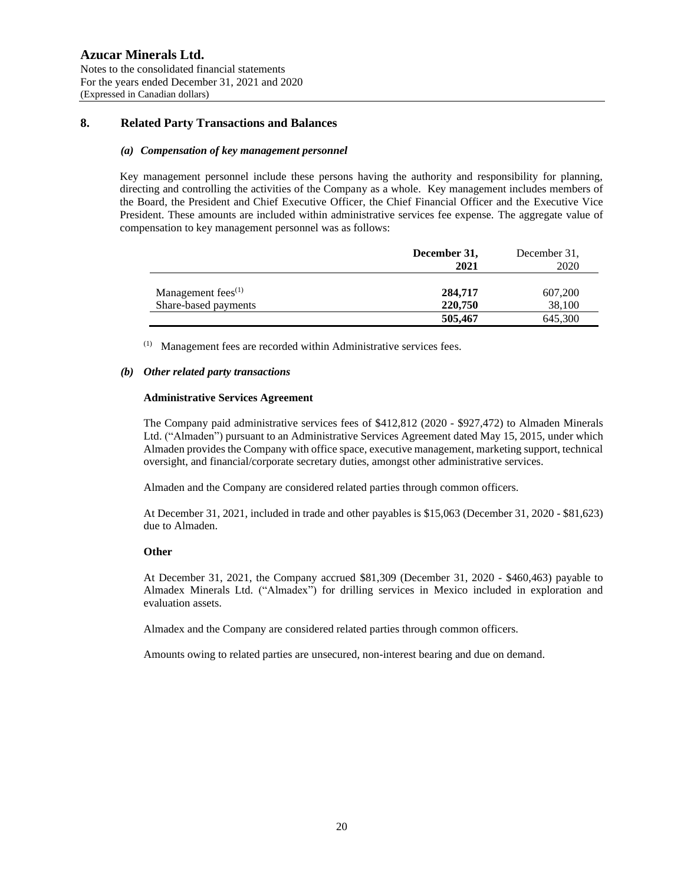# **8. Related Party Transactions and Balances**

#### *(a) Compensation of key management personnel*

Key management personnel include these persons having the authority and responsibility for planning, directing and controlling the activities of the Company as a whole. Key management includes members of the Board, the President and Chief Executive Officer, the Chief Financial Officer and the Executive Vice President. These amounts are included within administrative services fee expense. The aggregate value of compensation to key management personnel was as follows:

|                       | December 31, | December 31, |
|-----------------------|--------------|--------------|
|                       | 2021         | 2020         |
|                       |              |              |
| Management fees $(1)$ | 284,717      | 607,200      |
| Share-based payments  | 220,750      | 38,100       |
|                       | 505,467      | 645.300      |

(1) Management fees are recorded within Administrative services fees.

#### *(b) Other related party transactions*

#### **Administrative Services Agreement**

The Company paid administrative services fees of \$412,812 (2020 - \$927,472) to Almaden Minerals Ltd. ("Almaden") pursuant to an Administrative Services Agreement dated May 15, 2015, under which Almaden provides the Company with office space, executive management, marketing support, technical oversight, and financial/corporate secretary duties, amongst other administrative services.

Almaden and the Company are considered related parties through common officers.

At December 31, 2021, included in trade and other payables is \$15,063 (December 31, 2020 - \$81,623) due to Almaden.

#### **Other**

At December 31, 2021, the Company accrued \$81,309 (December 31, 2020 - \$460,463) payable to Almadex Minerals Ltd. ("Almadex") for drilling services in Mexico included in exploration and evaluation assets.

Almadex and the Company are considered related parties through common officers.

Amounts owing to related parties are unsecured, non-interest bearing and due on demand.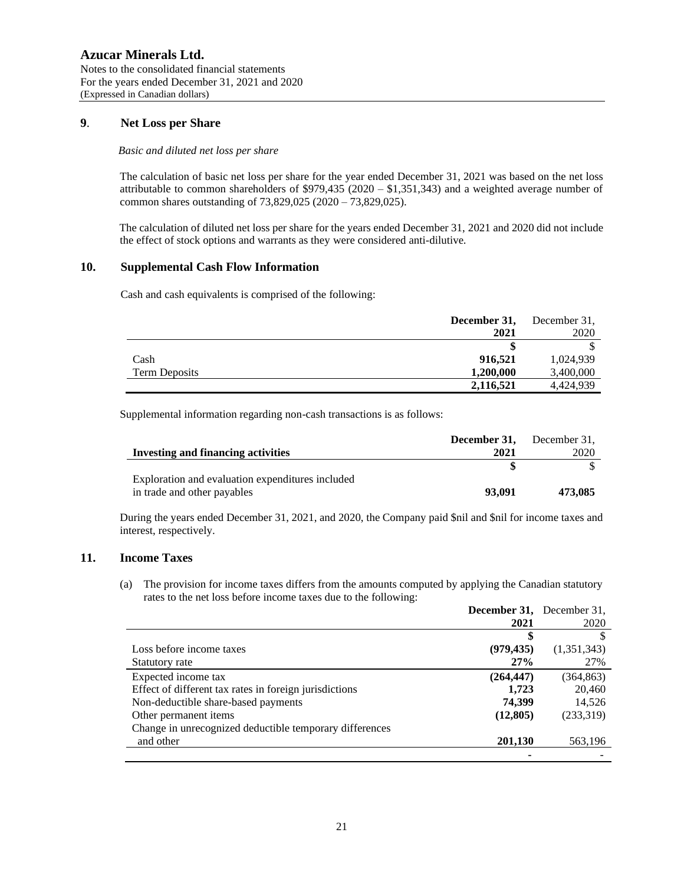# **9**. **Net Loss per Share**

#### *Basic and diluted net loss per share*

The calculation of basic net loss per share for the year ended December 31, 2021 was based on the net loss attributable to common shareholders of \$979,435 (2020 – \$1,351,343) and a weighted average number of common shares outstanding of 73,829,025 (2020 – 73,829,025).

The calculation of diluted net loss per share for the years ended December 31, 2021 and 2020 did not include the effect of stock options and warrants as they were considered anti-dilutive.

## **10. Supplemental Cash Flow Information**

Cash and cash equivalents is comprised of the following:

|                      | December 31, | December 31, |
|----------------------|--------------|--------------|
|                      | 2021         | 2020         |
|                      |              |              |
| Cash                 | 916,521      | 1,024,939    |
| <b>Term Deposits</b> | 1,200,000    | 3,400,000    |
|                      | 2,116,521    | 4,424,939    |

Supplemental information regarding non-cash transactions is as follows:

|                                                  | <b>December 31,</b> December 31, |         |
|--------------------------------------------------|----------------------------------|---------|
| Investing and financing activities               | 2021                             | 2020    |
|                                                  |                                  |         |
| Exploration and evaluation expenditures included |                                  |         |
| in trade and other payables                      | 93.091                           | 473,085 |

During the years ended December 31, 2021, and 2020, the Company paid \$nil and \$nil for income taxes and interest, respectively.

### **11. Income Taxes**

(a) The provision for income taxes differs from the amounts computed by applying the Canadian statutory rates to the net loss before income taxes due to the following:

|                                                         | <b>December 31,</b> December 31, |             |
|---------------------------------------------------------|----------------------------------|-------------|
|                                                         | 2021                             | 2020        |
|                                                         |                                  |             |
| Loss before income taxes                                | (979, 435)                       | (1,351,343) |
| Statutory rate                                          | 27%                              | 27%         |
| Expected income tax                                     | (264, 447)                       | (364, 863)  |
| Effect of different tax rates in foreign jurisdictions  | 1.723                            | 20,460      |
| Non-deductible share-based payments                     | 74,399                           | 14,526      |
| Other permanent items                                   | (12, 805)                        | (233, 319)  |
| Change in unrecognized deductible temporary differences |                                  |             |
| and other                                               | 201,130                          | 563,196     |
|                                                         |                                  |             |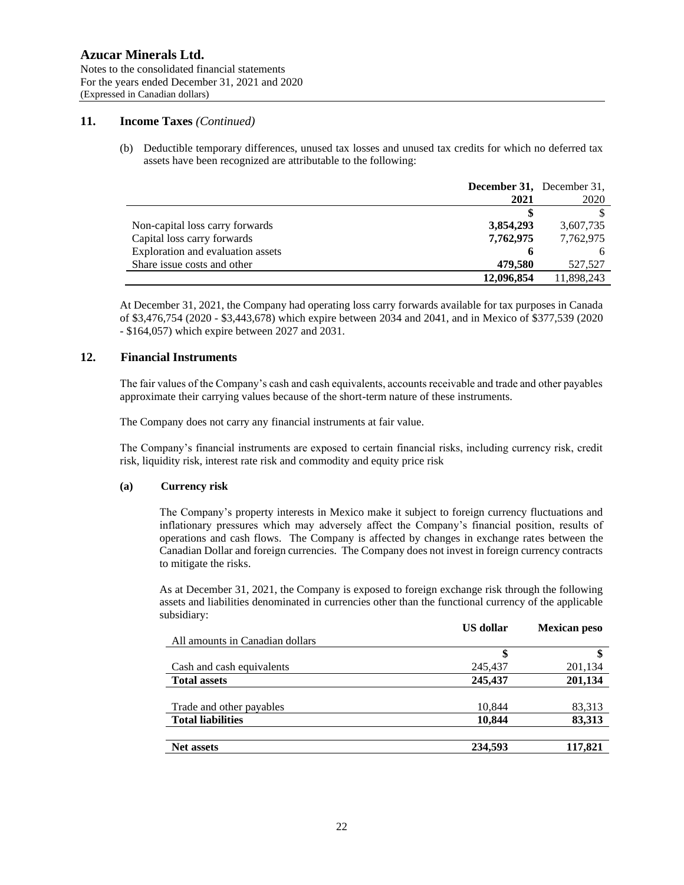#### **11. Income Taxes** *(Continued)*

(b) Deductible temporary differences, unused tax losses and unused tax credits for which no deferred tax assets have been recognized are attributable to the following:

|                                   | <b>December 31, December 31,</b> |            |
|-----------------------------------|----------------------------------|------------|
|                                   | 2021                             | 2020       |
|                                   |                                  |            |
| Non-capital loss carry forwards   | 3,854,293                        | 3,607,735  |
| Capital loss carry forwards       | 7,762,975                        | 7,762,975  |
| Exploration and evaluation assets | O                                |            |
| Share issue costs and other       | 479.580                          | 527,527    |
|                                   | 12,096,854                       | 11,898,243 |

At December 31, 2021, the Company had operating loss carry forwards available for tax purposes in Canada of \$3,476,754 (2020 - \$3,443,678) which expire between 2034 and 2041, and in Mexico of \$377,539 (2020 - \$164,057) which expire between 2027 and 2031.

# **12. Financial Instruments**

The fair values of the Company's cash and cash equivalents, accounts receivable and trade and other payables approximate their carrying values because of the short-term nature of these instruments.

The Company does not carry any financial instruments at fair value.

The Company's financial instruments are exposed to certain financial risks, including currency risk, credit risk, liquidity risk, interest rate risk and commodity and equity price risk

### **(a) Currency risk**

The Company's property interests in Mexico make it subject to foreign currency fluctuations and inflationary pressures which may adversely affect the Company's financial position, results of operations and cash flows. The Company is affected by changes in exchange rates between the Canadian Dollar and foreign currencies. The Company does not invest in foreign currency contracts to mitigate the risks.

As at December 31, 2021, the Company is exposed to foreign exchange risk through the following assets and liabilities denominated in currencies other than the functional currency of the applicable subsidiary:

|                                 | <b>US dollar</b> | <b>Mexican peso</b> |
|---------------------------------|------------------|---------------------|
| All amounts in Canadian dollars |                  |                     |
|                                 | \$               |                     |
| Cash and cash equivalents       | 245,437          | 201,134             |
| <b>Total assets</b>             | 245,437          | 201,134             |
|                                 |                  |                     |
| Trade and other payables        | 10,844           | 83,313              |
| <b>Total liabilities</b>        | 10,844           | 83,313              |
|                                 |                  |                     |
| <b>Net assets</b>               | 234,593          | 117,821             |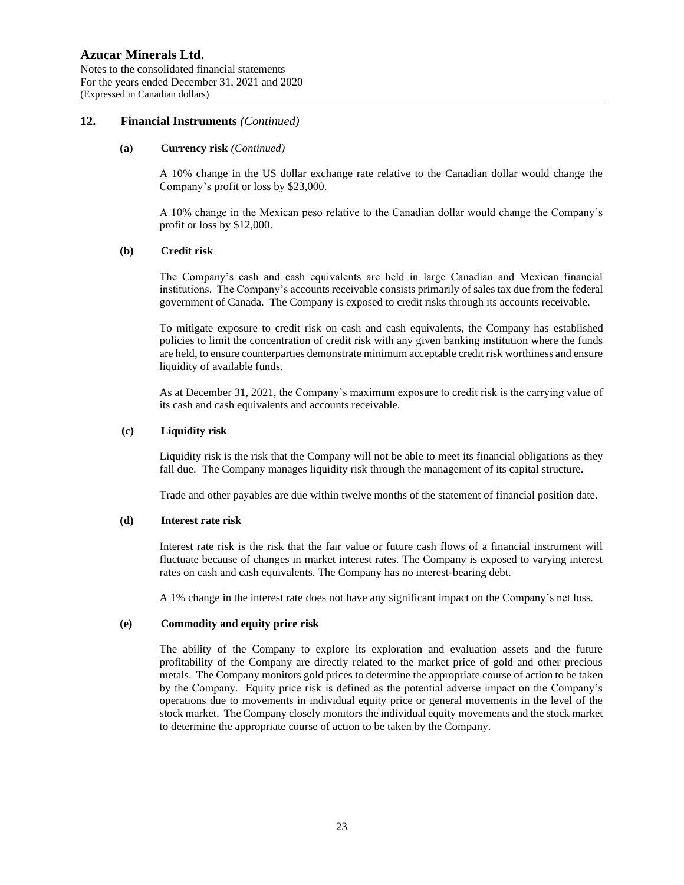#### **12. Financial Instruments** *(Continued)*

## **(a) Currency risk** *(Continued)*

A 10% change in the US dollar exchange rate relative to the Canadian dollar would change the Company's profit or loss by \$23,000.

A 10% change in the Mexican peso relative to the Canadian dollar would change the Company's profit or loss by \$12,000.

#### **(b) Credit risk**

The Company's cash and cash equivalents are held in large Canadian and Mexican financial institutions. The Company's accounts receivable consists primarily of sales tax due from the federal government of Canada. The Company is exposed to credit risks through its accounts receivable.

To mitigate exposure to credit risk on cash and cash equivalents, the Company has established policies to limit the concentration of credit risk with any given banking institution where the funds are held, to ensure counterparties demonstrate minimum acceptable credit risk worthiness and ensure liquidity of available funds.

As at December 31, 2021, the Company's maximum exposure to credit risk is the carrying value of its cash and cash equivalents and accounts receivable.

#### **(c) Liquidity risk**

Liquidity risk is the risk that the Company will not be able to meet its financial obligations as they fall due. The Company manages liquidity risk through the management of its capital structure.

Trade and other payables are due within twelve months of the statement of financial position date.

#### **(d) Interest rate risk**

Interest rate risk is the risk that the fair value or future cash flows of a financial instrument will fluctuate because of changes in market interest rates. The Company is exposed to varying interest rates on cash and cash equivalents. The Company has no interest-bearing debt.

A 1% change in the interest rate does not have any significant impact on the Company's net loss.

#### **(e) Commodity and equity price risk**

The ability of the Company to explore its exploration and evaluation assets and the future profitability of the Company are directly related to the market price of gold and other precious metals. The Company monitors gold prices to determine the appropriate course of action to be taken by the Company. Equity price risk is defined as the potential adverse impact on the Company's operations due to movements in individual equity price or general movements in the level of the stock market. The Company closely monitors the individual equity movements and the stock market to determine the appropriate course of action to be taken by the Company.